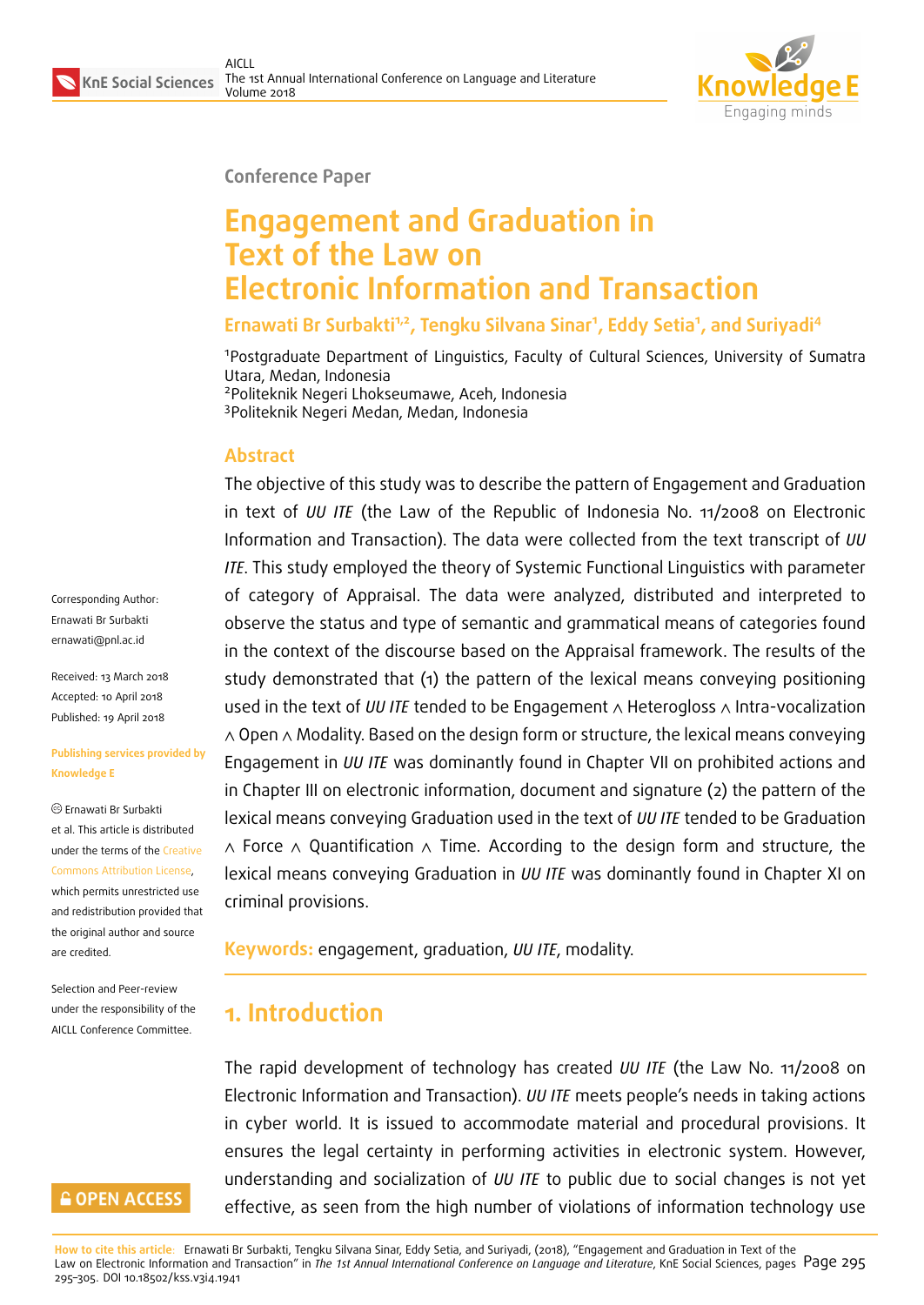

#### **Conference Paper**

# **Engagement and Graduation in Text of the Law on Electronic Information and Transaction**

**Ernawati Br Surbakti1,2, Tengku Silvana Sinar<sup>1</sup> , Eddy Setia<sup>1</sup> , and Suriyadi<sup>4</sup>**

<sup>1</sup>Postgraduate Department of Linguistics, Faculty of Cultural Sciences, University of Sumatra Utara, Medan, Indonesia <sup>2</sup>Politeknik Negeri Lhokseumawe, Aceh, Indonesia

<sup>3</sup>Politeknik Negeri Medan, Medan, Indonesia

#### **Abstract**

The objective of this study was to describe the pattern of Engagement and Graduation in text of *UU ITE* (the Law of the Republic of Indonesia No. 11/2008 on Electronic Information and Transaction). The data were collected from the text transcript of *UU ITE*. This study employed the theory of Systemic Functional Linguistics with parameter of category of Appraisal. The data were analyzed, distributed and interpreted to observe the status and type of semantic and grammatical means of categories found in the context of the discourse based on the Appraisal framework. The results of the study demonstrated that (1) the pattern of the lexical means conveying positioning used in the text of *UU ITE* tended to be Engagement ∧ Heterogloss ∧ Intra-vocalization ∧ Open ∧ Modality. Based on the design form or structure, the lexical means conveying Engagement in *UU ITE* was dominantly found in Chapter VII on prohibited actions and in Chapter III on electronic information, document and signature (2) the pattern of the lexical means conveying Graduation used in the text of *UU ITE* tended to be Graduation ∧ Force ∧ Quantification ∧ Time. According to the design form and structure, the lexical means conveying Graduation in *UU ITE* was dominantly found in Chapter XI on criminal provisions.

**Keywords:** engagement, graduation, *UU ITE*, modality.

# **1. Introduction**

The rapid development of technology has created *UU ITE* (the Law No. 11/2008 on Electronic Information and Transaction). *UU ITE* meets people's needs in taking actions in cyber world. It is issued to accommodate material and procedural provisions. It ensures the legal certainty in performing activities in electronic system. However, understanding and socialization of *UU ITE* to public due to social changes is not yet effective, as seen from the high number of violations of information technology use

**How to cite this article**: Ernawati Br Surbakti, Tengku Silvana Sinar, Eddy Setia, and Suriyadi, (2018), "Engagement and Graduation in Text of the Law on Electronic Information and Transaction" in *The 1st Annual International Conference on Language and Literature*, KnE Social Sciences, pages Page 295 295–305. DOI 10.18502/kss.v3i4.1941

Corresponding Author: Ernawati Br Surbakti ernawati@pnl.ac.id

Received: 13 March 2018 Accepted: 10 April 2018 [Published: 19 April 2](mailto:ernawati@pnl.ac.id)018

#### **Publishing services provided by Knowledge E**

Ernawati Br Surbakti et al. This article is distributed under the terms of the Creative Commons Attribution License,

which permits unrestricted use and redistribution provided that the original author and [source](https://creativecommons.org/licenses/by/4.0/) [are credited.](https://creativecommons.org/licenses/by/4.0/)

Selection and Peer-review under the responsibility of the AICLL Conference Committee.

### **GOPEN ACCESS**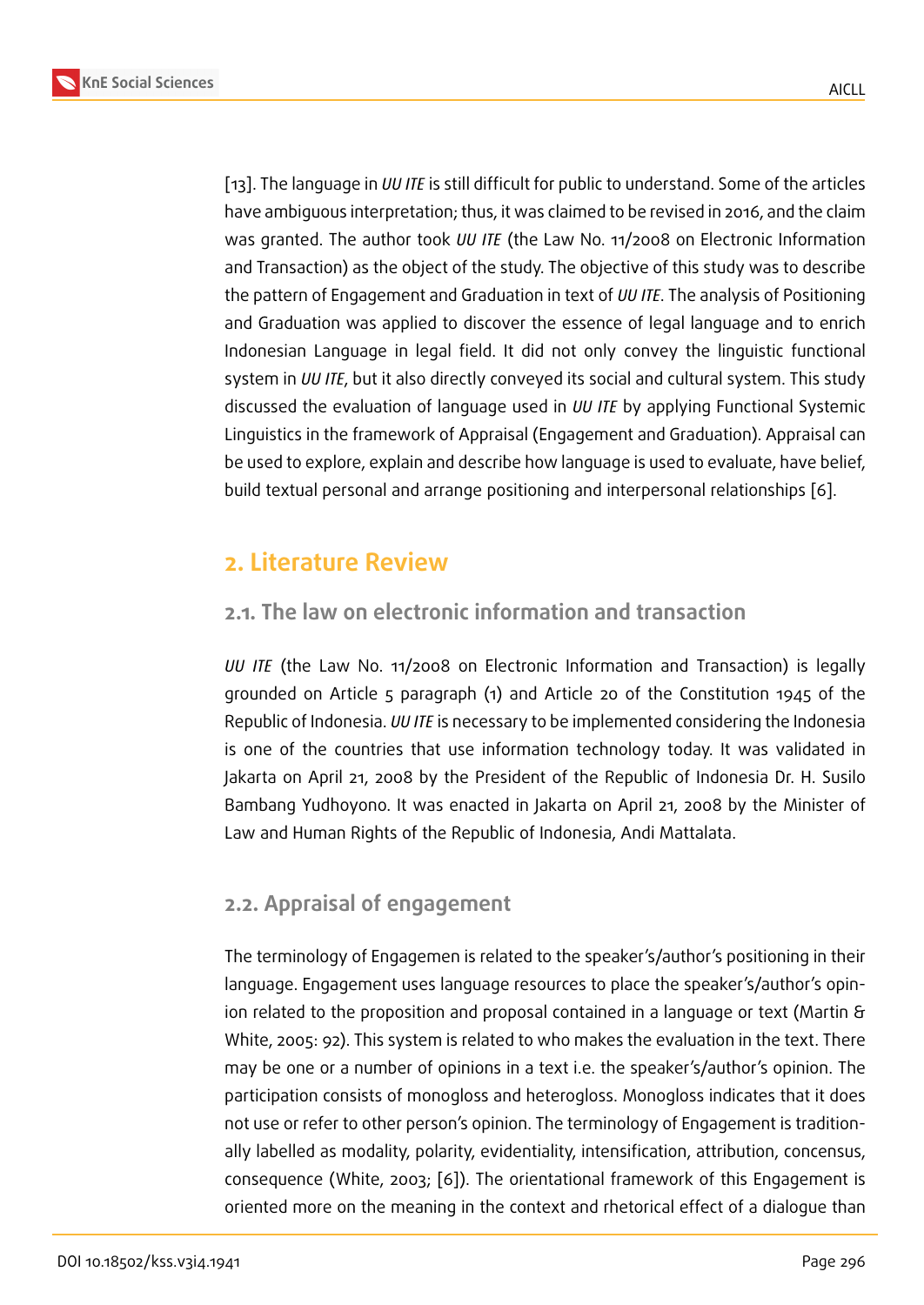[13]. The language in *UU ITE* is still difficult for public to understand. Some of the articles have ambiguous interpretation; thus, it was claimed to be revised in 2016, and the claim was granted. The author took *UU ITE* (the Law No. 11/2008 on Electronic Information [and](#page-10-0) Transaction) as the object of the study. The objective of this study was to describe the pattern of Engagement and Graduation in text of *UU ITE*. The analysis of Positioning and Graduation was applied to discover the essence of legal language and to enrich Indonesian Language in legal field. It did not only convey the linguistic functional system in *UU ITE*, but it also directly conveyed its social and cultural system. This study discussed the evaluation of language used in *UU ITE* by applying Functional Systemic Linguistics in the framework of Appraisal (Engagement and Graduation). Appraisal can be used to explore, explain and describe how language is used to evaluate, have belief, build textual personal and arrange positioning and interpersonal relationships [6].

# **2. Literature Review**

# **2.1. The law on electronic information and transaction**

*UU ITE* (the Law No. 11/2008 on Electronic Information and Transaction) is legally grounded on Article 5 paragraph (1) and Article 20 of the Constitution 1945 of the Republic of Indonesia. *UU ITE* is necessary to be implemented considering the Indonesia is one of the countries that use information technology today. It was validated in Jakarta on April 21, 2008 by the President of the Republic of Indonesia Dr. H. Susilo Bambang Yudhoyono. It was enacted in Jakarta on April 21, 2008 by the Minister of Law and Human Rights of the Republic of Indonesia, Andi Mattalata.

## **2.2. Appraisal of engagement**

The terminology of Engagemen is related to the speaker's/author's positioning in their language. Engagement uses language resources to place the speaker's/author's opinion related to the proposition and proposal contained in a language or text (Martin & White, 2005: 92). This system is related to who makes the evaluation in the text. There may be one or a number of opinions in a text i.e. the speaker's/author's opinion. The participation consists of monogloss and heterogloss. Monogloss indicates that it does not use or refer to other person's opinion. The terminology of Engagement is traditionally labelled as modality, polarity, evidentiality, intensification, attribution, concensus, consequence (White, 2003; [6]). The orientational framework of this Engagement is oriented more on the meaning in the context and rhetorical effect of a dialogue than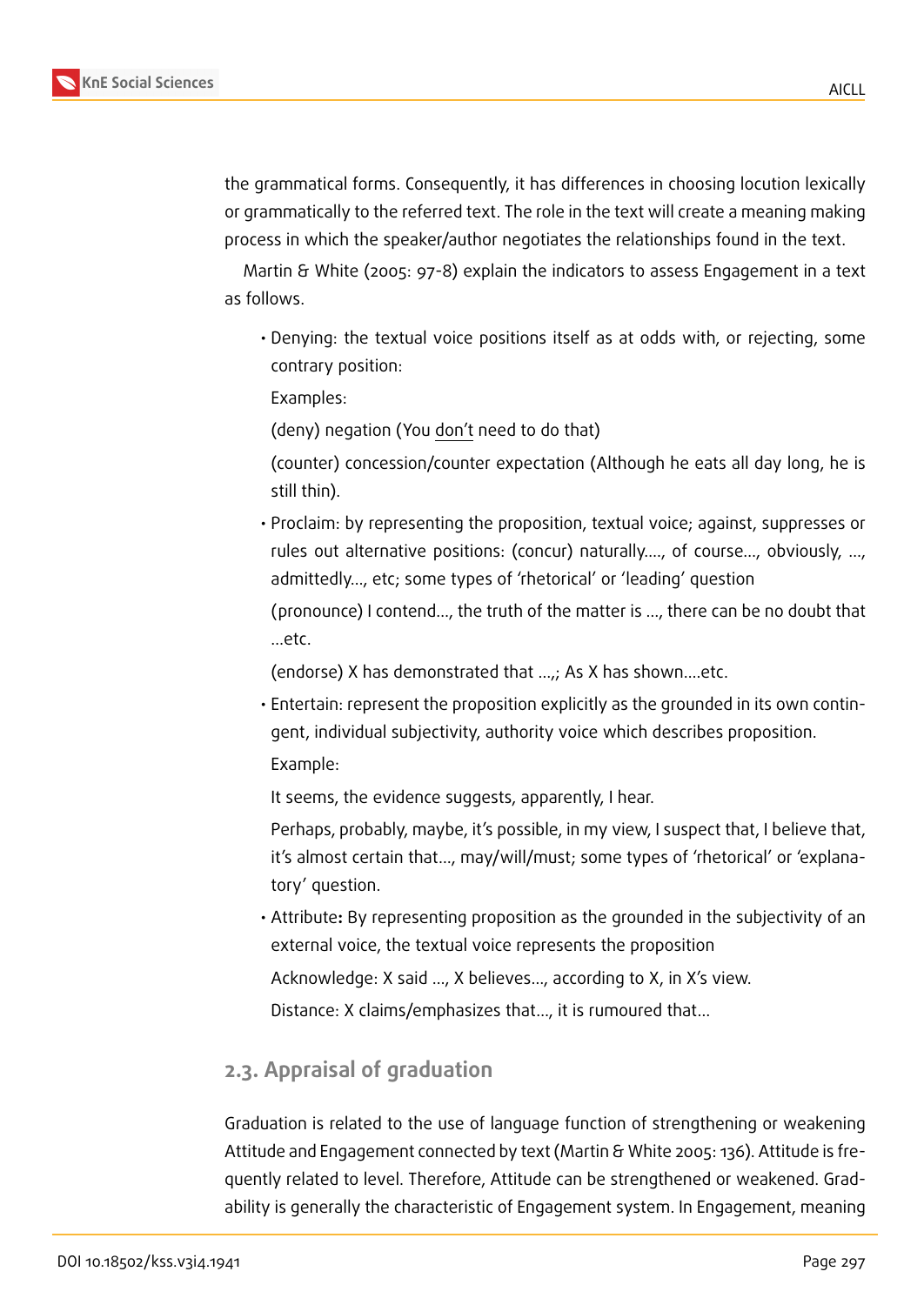

the grammatical forms. Consequently, it has differences in choosing locution lexically or grammatically to the referred text. The role in the text will create a meaning making process in which the speaker/author negotiates the relationships found in the text.

Martin & White (2005: 97-8) explain the indicators to assess Engagement in a text as follows.

• Denying: the textual voice positions itself as at odds with, or rejecting, some contrary position:

Examples:

(deny) negation (You don't need to do that)

(counter) concession/counter expectation (Although he eats all day long, he is still thin).

• Proclaim: by representing the proposition, textual voice; against, suppresses or rules out alternative positions: (concur) naturally…., of course…, obviously, …, admittedly…, etc; some types of 'rhetorical' or 'leading' question

(pronounce) I contend…, the truth of the matter is …, there can be no doubt that …etc.

(endorse) X has demonstrated that …,; As X has shown….etc.

• Entertain: represent the proposition explicitly as the grounded in its own contingent, individual subjectivity, authority voice which describes proposition. Example:

It seems, the evidence suggests, apparently, I hear.

Perhaps, probably, maybe, it's possible, in my view, I suspect that, I believe that, it's almost certain that…, may/will/must; some types of 'rhetorical' or 'explanatory' question.

• Attribute**:** By representing proposition as the grounded in the subjectivity of an external voice, the textual voice represents the proposition

Acknowledge: X said …, X believes…, according to X, in X's view.

Distance: X claims/emphasizes that…, it is rumoured that…

### **2.3. Appraisal of graduation**

Graduation is related to the use of language function of strengthening or weakening Attitude and Engagement connected by text (Martin & White 2005: 136). Attitude is frequently related to level. Therefore, Attitude can be strengthened or weakened. Gradability is generally the characteristic of Engagement system. In Engagement, meaning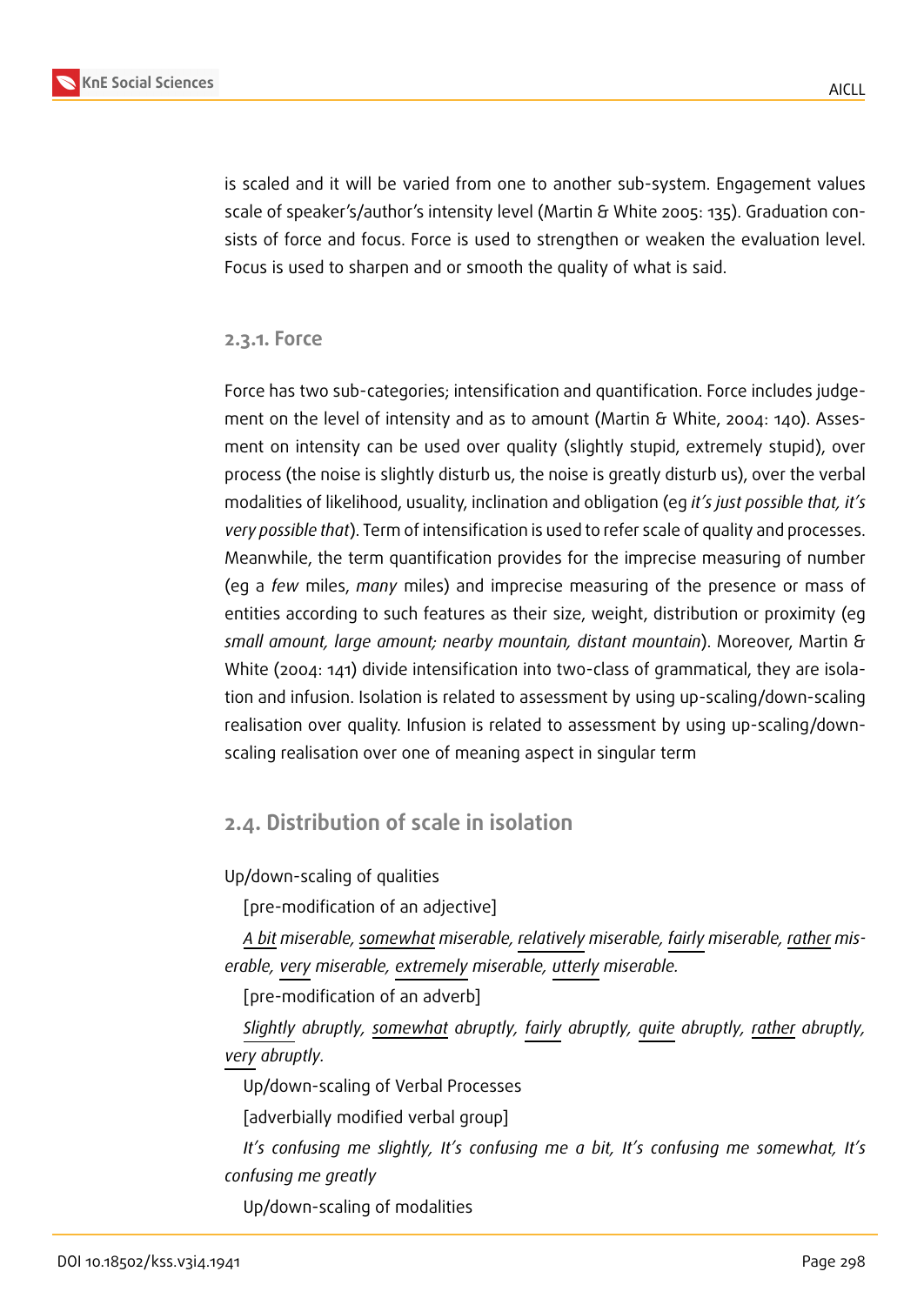

is scaled and it will be varied from one to another sub-system. Engagement values scale of speaker's/author's intensity level (Martin & White 2005: 135). Graduation consists of force and focus. Force is used to strengthen or weaken the evaluation level. Focus is used to sharpen and or smooth the quality of what is said.

**2.3.1. Force**

Force has two sub-categories; intensification and quantification. Force includes judgement on the level of intensity and as to amount (Martin & White, 2004: 140). Assesment on intensity can be used over quality (slightly stupid, extremely stupid), over process (the noise is slightly disturb us, the noise is greatly disturb us), over the verbal modalities of likelihood, usuality, inclination and obligation (eg *it's just possible that, it's very possible that*). Term of intensification is used to refer scale of quality and processes. Meanwhile, the term quantification provides for the imprecise measuring of number (eg a *few* miles, *many* miles) and imprecise measuring of the presence or mass of entities according to such features as their size, weight, distribution or proximity (eg *small amount, large amount; nearby mountain, distant mountain*). Moreover, Martin & White (2004: 141) divide intensification into two-class of grammatical, they are isolation and infusion. Isolation is related to assessment by using up-scaling/down-scaling realisation over quality. Infusion is related to assessment by using up-scaling/downscaling realisation over one of meaning aspect in singular term

### **2.4. Distribution of scale in isolation**

Up/down-scaling of qualities

[pre-modification of an adjective]

*A bit miserable, somewhat miserable, relatively miserable, fairly miserable, rather miserable, very miserable, extremely miserable, utterly miserable.*

[pre-modification of an adverb]

*Slightly abruptly, somewhat abruptly, fairly abruptly, quite abruptly, rather abruptly, very abruptly.*

Up/down-scaling of Verbal Processes

[adverbially modified verbal group]

*It's confusing me slightly, It's confusing me a bit, It's confusing me somewhat, It's confusing me greatly*

Up/down-scaling of modalities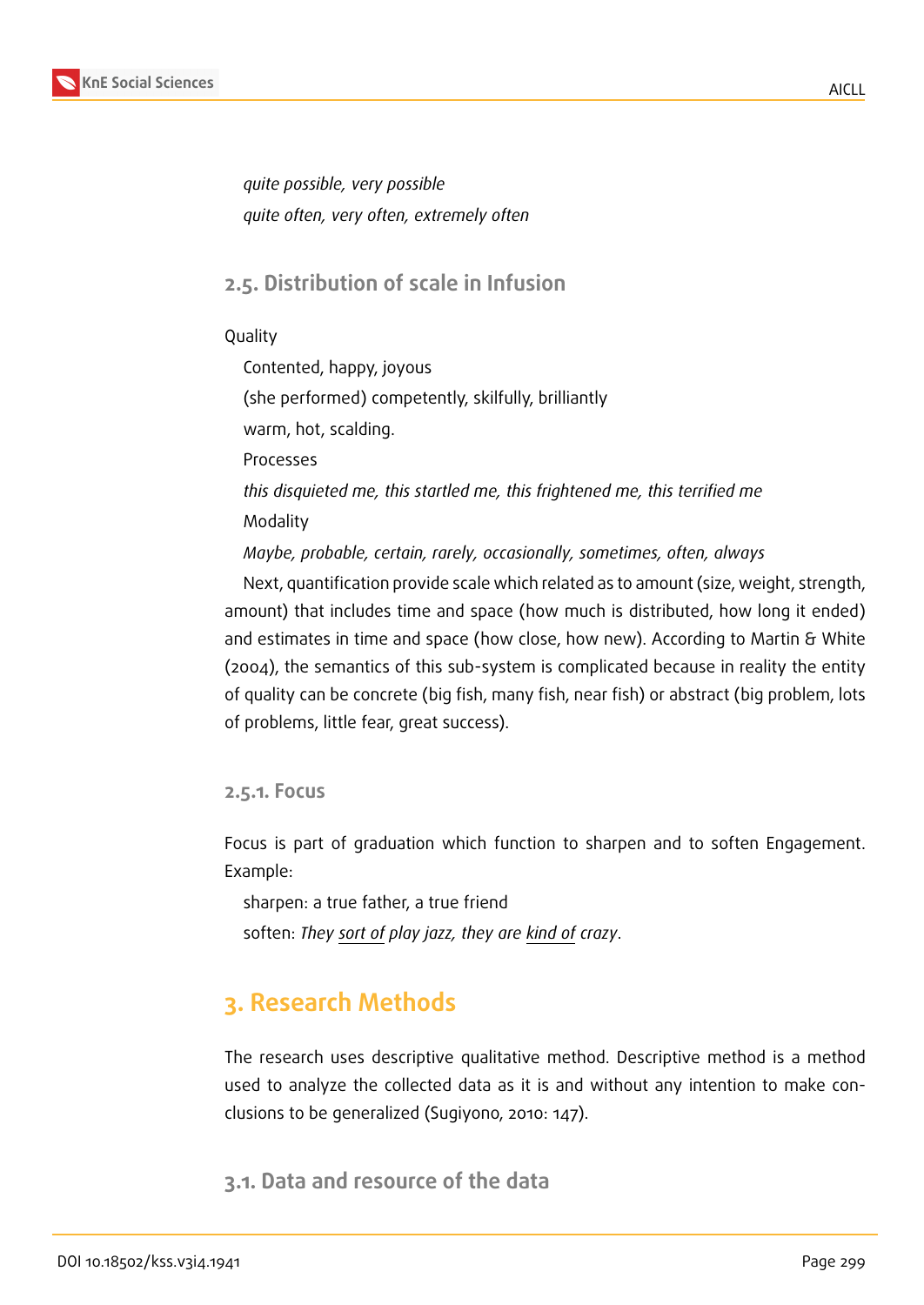

*quite possible, very possible quite often, very often, extremely often*

### **2.5. Distribution of scale in Infusion**

Quality

Contented, happy, joyous (she performed) competently, skilfully, brilliantly warm, hot, scalding. Processes *this disquieted me, this startled me, this frightened me, this terrified me* Modality *Maybe, probable, certain, rarely, occasionally, sometimes, often, always*

Next, quantification provide scale which related as to amount (size, weight, strength, amount) that includes time and space (how much is distributed, how long it ended) and estimates in time and space (how close, how new). According to Martin & White (2004), the semantics of this sub-system is complicated because in reality the entity of quality can be concrete (big fish, many fish, near fish) or abstract (big problem, lots of problems, little fear, great success).

**2.5.1. Focus**

Focus is part of graduation which function to sharpen and to soften Engagement. Example:

sharpen: a true father, a true friend soften: *They sort of play jazz, they are kind of crazy*.

# **3. Research Methods**

The research uses descriptive qualitative method. Descriptive method is a method used to analyze the collected data as it is and without any intention to make conclusions to be generalized (Sugiyono, 2010: 147).

**3.1. Data and resource of the data**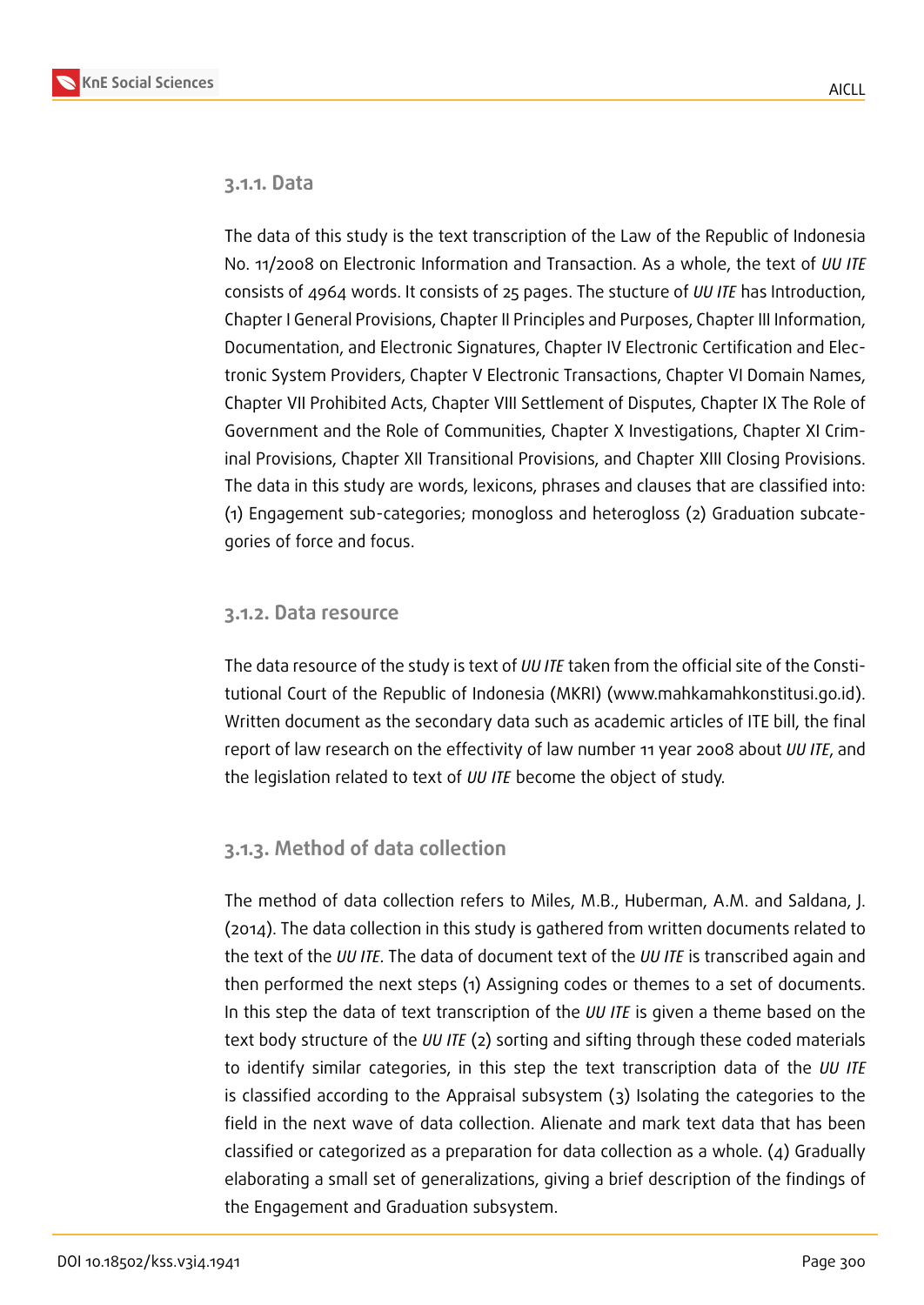### **3.1.1. Data**

The data of this study is the text transcription of the Law of the Republic of Indonesia No. 11/2008 on Electronic Information and Transaction. As a whole, the text of *UU ITE* consists of 4964 words. It consists of 25 pages. The stucture of *UU ITE* has Introduction, Chapter I General Provisions, Chapter II Principles and Purposes, Chapter III Information, Documentation, and Electronic Signatures, Chapter IV Electronic Certification and Electronic System Providers, Chapter V Electronic Transactions, Chapter VI Domain Names, Chapter VII Prohibited Acts, Chapter VIII Settlement of Disputes, Chapter IX The Role of Government and the Role of Communities, Chapter X Investigations, Chapter XI Criminal Provisions, Chapter XII Transitional Provisions, and Chapter XIII Closing Provisions. The data in this study are words, lexicons, phrases and clauses that are classified into: (1) Engagement sub-categories; monogloss and heterogloss (2) Graduation subcategories of force and focus.

### **3.1.2. Data resource**

The data resource of the study is text of *UU ITE* taken from the official site of the Constitutional Court of the Republic of Indonesia (MKRI) (www.mahkamahkonstitusi.go.id). Written document as the secondary data such as academic articles of ITE bill, the final report of law research on the effectivity of law number 11 year 2008 about *UU ITE*, and the legislation related to text of *UU ITE* become the object of study.

### **3.1.3. Method of data collection**

The method of data collection refers to Miles, M.B., Huberman, A.M. and Saldana, J. (2014). The data collection in this study is gathered from written documents related to the text of the *UU ITE*. The data of document text of the *UU ITE* is transcribed again and then performed the next steps (1) Assigning codes or themes to a set of documents. In this step the data of text transcription of the *UU ITE* is given a theme based on the text body structure of the *UU ITE* (2) sorting and sifting through these coded materials to identify similar categories, in this step the text transcription data of the *UU ITE* is classified according to the Appraisal subsystem (3) Isolating the categories to the field in the next wave of data collection. Alienate and mark text data that has been classified or categorized as a preparation for data collection as a whole. (4) Gradually elaborating a small set of generalizations, giving a brief description of the findings of the Engagement and Graduation subsystem.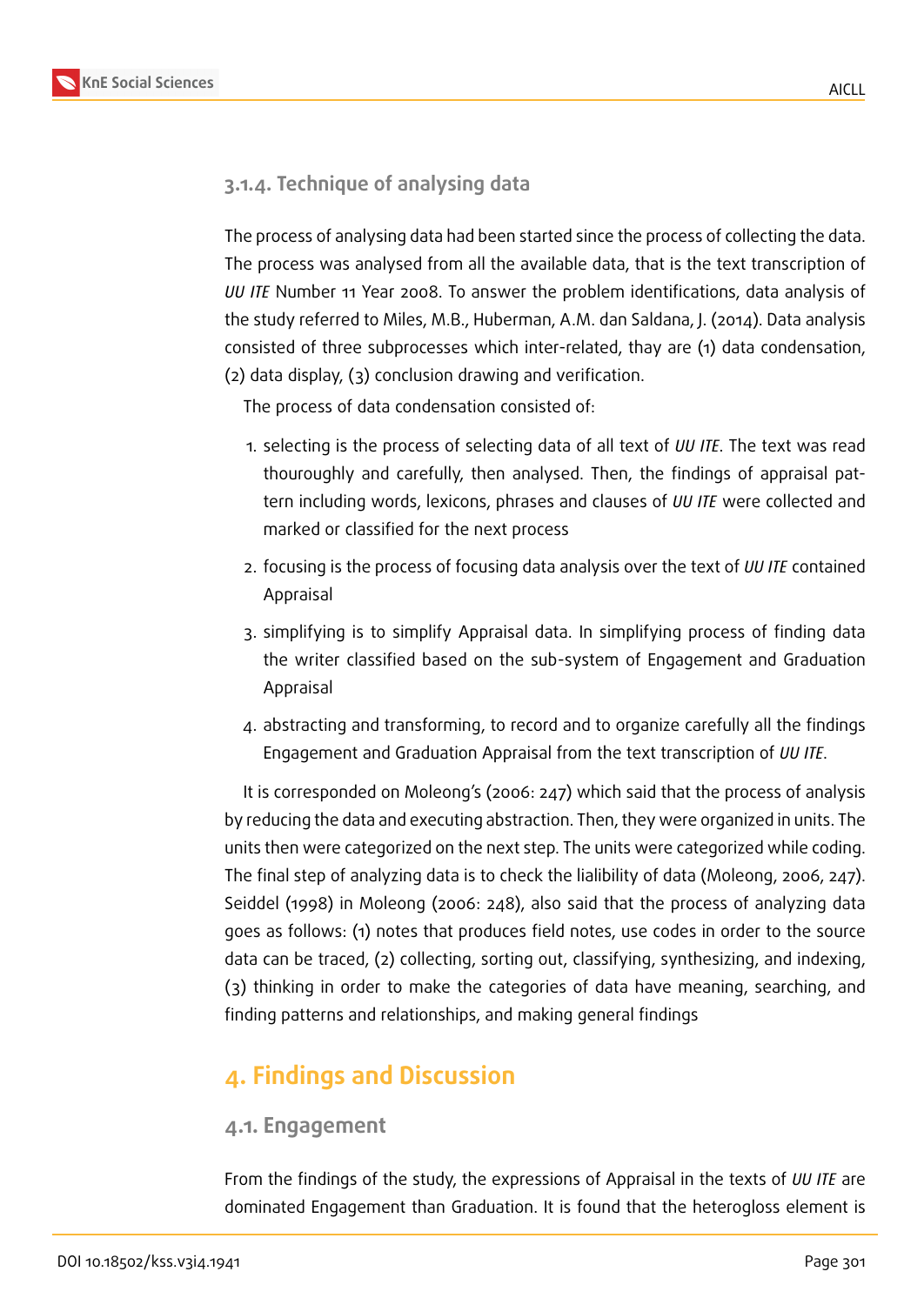

## **3.1.4. Technique of analysing data**

The process of analysing data had been started since the process of collecting the data. The process was analysed from all the available data, that is the text transcription of *UU ITE* Number 11 Year 2008. To answer the problem identifications, data analysis of the study referred to Miles, M.B., Huberman, A.M. dan Saldana, J. (2014). Data analysis consisted of three subprocesses which inter-related, thay are (1) data condensation, (2) data display, (3) conclusion drawing and verification.

The process of data condensation consisted of:

- 1. selecting is the process of selecting data of all text of *UU ITE*. The text was read thouroughly and carefully, then analysed. Then, the findings of appraisal pattern including words, lexicons, phrases and clauses of *UU ITE* were collected and marked or classified for the next process
- 2. focusing is the process of focusing data analysis over the text of *UU ITE* contained Appraisal
- 3. simplifying is to simplify Appraisal data. In simplifying process of finding data the writer classified based on the sub-system of Engagement and Graduation Appraisal
- 4. abstracting and transforming, to record and to organize carefully all the findings Engagement and Graduation Appraisal from the text transcription of *UU ITE*.

It is corresponded on Moleong's (2006: 247) which said that the process of analysis by reducing the data and executing abstraction. Then, they were organized in units. The units then were categorized on the next step. The units were categorized while coding. The final step of analyzing data is to check the lialibility of data (Moleong, 2006, 247). Seiddel (1998) in Moleong (2006: 248), also said that the process of analyzing data goes as follows: (1) notes that produces field notes, use codes in order to the source data can be traced, (2) collecting, sorting out, classifying, synthesizing, and indexing, (3) thinking in order to make the categories of data have meaning, searching, and finding patterns and relationships, and making general findings

# **4. Findings and Discussion**

### **4.1. Engagement**

From the findings of the study, the expressions of Appraisal in the texts of *UU ITE* are dominated Engagement than Graduation. It is found that the heterogloss element is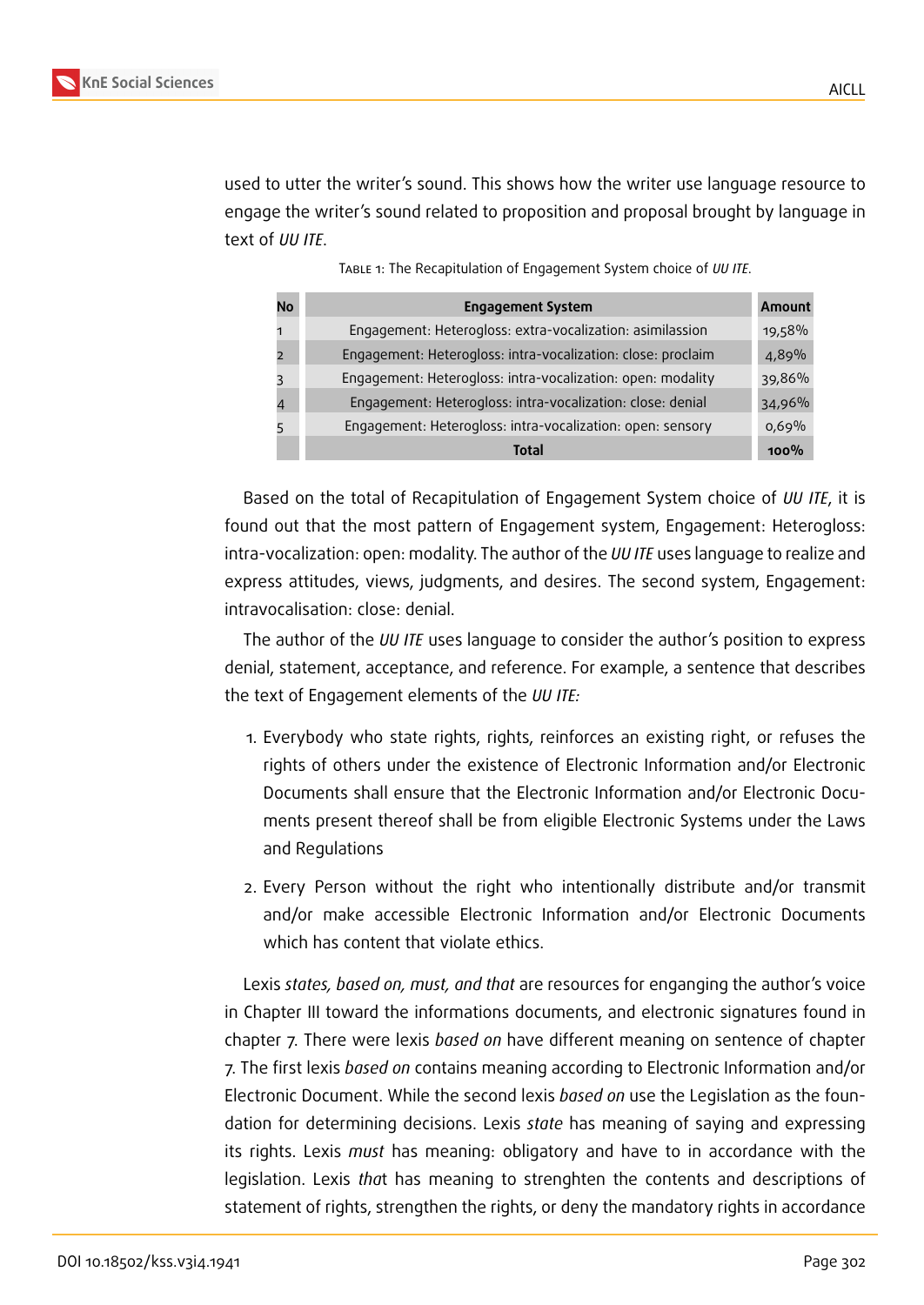used to utter the writer's sound. This shows how the writer use language resource to engage the writer's sound related to proposition and proposal brought by language in text of *UU ITE*.

| No | <b>Engagement System</b>                                     | Amount  |
|----|--------------------------------------------------------------|---------|
|    | Engagement: Heterogloss: extra-vocalization: asimilassion    | 19,58%  |
|    | Engagement: Heterogloss: intra-vocalization: close: proclaim | 4,89%   |
|    | Engagement: Heterogloss: intra-vocalization: open: modality  | 39,86%  |
|    | Engagement: Heterogloss: intra-vocalization: close: denial   | 34,96%  |
|    | Engagement: Heterogloss: intra-vocalization: open: sensory   | 0.69%   |
|    | Total                                                        | $100\%$ |

Table 1: The Recapitulation of Engagement System choice of *UU ITE*.

Based on the total of Recapitulation of Engagement System choice of *UU ITE*, it is found out that the most pattern of Engagement system, Engagement: Heterogloss: intra-vocalization: open: modality. The author of the *UU ITE* uses language to realize and express attitudes, views, judgments, and desires. The second system, Engagement: intravocalisation: close: denial.

The author of the *UU ITE* uses language to consider the author's position to express denial, statement, acceptance, and reference. For example, a sentence that describes the text of Engagement elements of the *UU ITE:*

- 1. Everybody who state rights, rights, reinforces an existing right, or refuses the rights of others under the existence of Electronic Information and/or Electronic Documents shall ensure that the Electronic Information and/or Electronic Documents present thereof shall be from eligible Electronic Systems under the Laws and Regulations
- 2. Every Person without the right who intentionally distribute and/or transmit and/or make accessible Electronic Information and/or Electronic Documents which has content that violate ethics.

Lexis *states, based on, must, and that* are resources for enganging the author's voice in Chapter III toward the informations documents, and electronic signatures found in chapter 7. There were lexis *based on* have different meaning on sentence of chapter 7. The first lexis *based on* contains meaning according to Electronic Information and/or Electronic Document. While the second lexis *based on* use the Legislation as the foundation for determining decisions. Lexis *state* has meaning of saying and expressing its rights. Lexis *must* has meaning: obligatory and have to in accordance with the legislation. Lexis *tha*t has meaning to strenghten the contents and descriptions of statement of rights, strengthen the rights, or deny the mandatory rights in accordance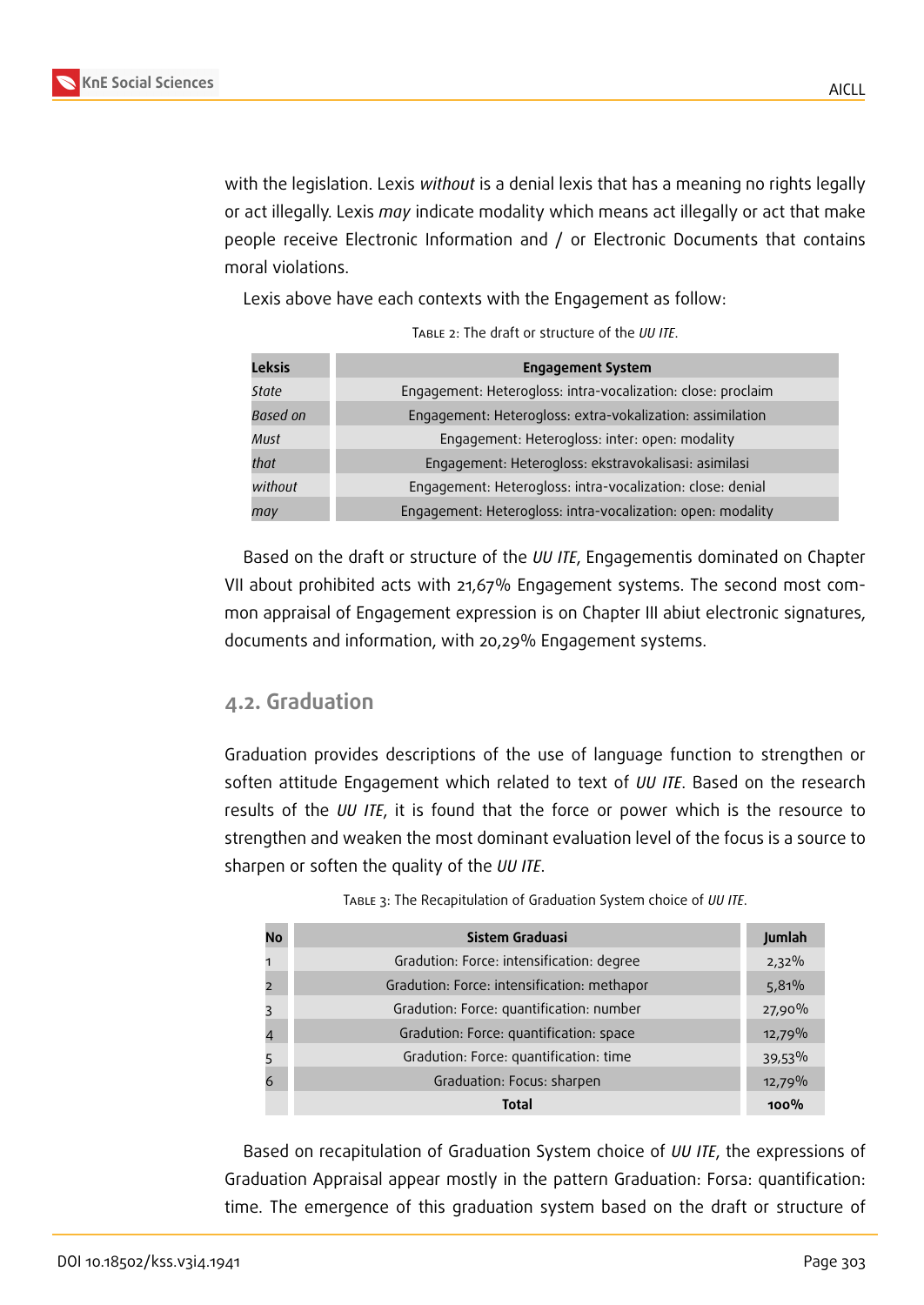with the legislation. Lexis *without* is a denial lexis that has a meaning no rights legally or act illegally. Lexis *may* indicate modality which means act illegally or act that make people receive Electronic Information and / or Electronic Documents that contains moral violations.

Lexis above have each contexts with the Engagement as follow:

| <b>Leksis</b> | <b>Engagement System</b>                                     |
|---------------|--------------------------------------------------------------|
| State         | Engagement: Heterogloss: intra-vocalization: close: proclaim |
| Based on      | Engagement: Heterogloss: extra-vokalization: assimilation    |
| Must          | Engagement: Heterogloss: inter: open: modality               |
| that          | Engagement: Heterogloss: ekstravokalisasi: asimilasi         |
| without       | Engagement: Heterogloss: intra-vocalization: close: denial   |
| may           | Engagement: Heterogloss: intra-vocalization: open: modality  |

Table 2: The draft or structure of the *UU ITE*.

Based on the draft or structure of the *UU ITE*, Engagementis dominated on Chapter VII about prohibited acts with 21,67% Engagement systems. The second most common appraisal of Engagement expression is on Chapter III abiut electronic signatures, documents and information, with 20,29% Engagement systems.

### **4.2. Graduation**

Graduation provides descriptions of the use of language function to strengthen or soften attitude Engagement which related to text of *UU ITE*. Based on the research results of the *UU ITE*, it is found that the force or power which is the resource to strengthen and weaken the most dominant evaluation level of the focus is a source to sharpen or soften the quality of the *UU ITE*.

| <b>No</b> | Sistem Graduasi                             | Jumlah   |
|-----------|---------------------------------------------|----------|
|           | Gradution: Force: intensification: degree   | $2,32\%$ |
|           | Gradution: Force: intensification: methapor | 5,81%    |
| 3         | Gradution: Force: quantification: number    | 27,90%   |
|           | Gradution: Force: quantification: space     | 12,79%   |
| 5         | Gradution: Force: quantification: time      | 39,53%   |
|           | Graduation: Focus: sharpen                  | 12,79%   |
|           | <b>Total</b>                                | $100\%$  |

Table 3: The Recapitulation of Graduation System choice of *UU ITE*.

Based on recapitulation of Graduation System choice of *UU ITE*, the expressions of Graduation Appraisal appear mostly in the pattern Graduation: Forsa: quantification: time. The emergence of this graduation system based on the draft or structure of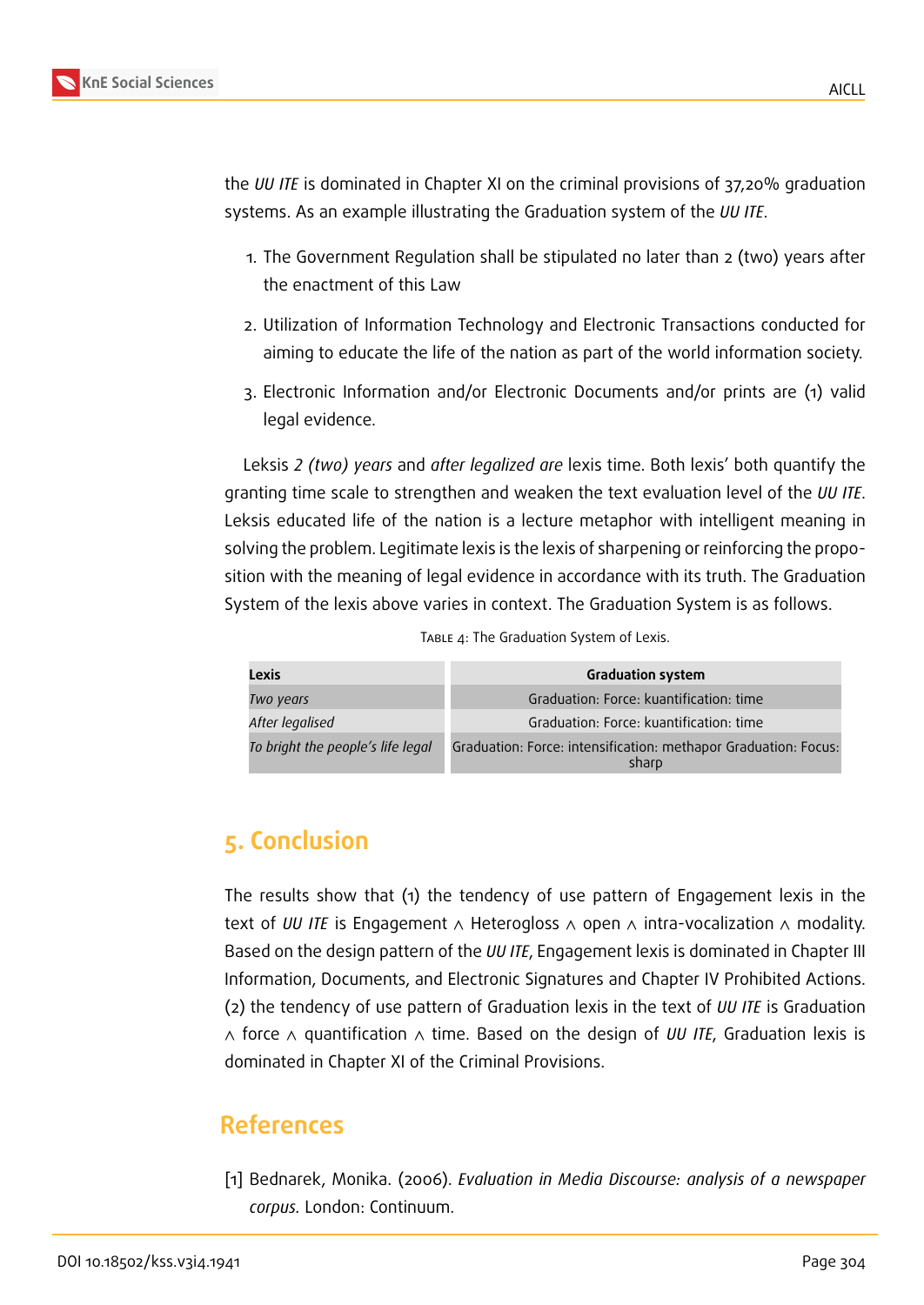the *UU ITE* is dominated in Chapter XI on the criminal provisions of 37,20% graduation systems. As an example illustrating the Graduation system of the *UU ITE*.

- 1. The Government Regulation shall be stipulated no later than 2 (two) years after the enactment of this Law
- 2. Utilization of Information Technology and Electronic Transactions conducted for aiming to educate the life of the nation as part of the world information society.
- 3. Electronic Information and/or Electronic Documents and/or prints are (1) valid legal evidence.

Leksis *2 (two) years* and *after legalized are* lexis time. Both lexis' both quantify the granting time scale to strengthen and weaken the text evaluation level of the *UU ITE*. Leksis educated life of the nation is a lecture metaphor with intelligent meaning in solving the problem. Legitimate lexis is the lexis of sharpening or reinforcing the proposition with the meaning of legal evidence in accordance with its truth. The Graduation System of the lexis above varies in context. The Graduation System is as follows.

| <b>Lexis</b>                      | <b>Graduation system</b>                                                 |
|-----------------------------------|--------------------------------------------------------------------------|
| Two years                         | Graduation: Force: kuantification: time                                  |
| After legalised                   | Graduation: Force: kuantification: time                                  |
| To bright the people's life legal | Graduation: Force: intensification: methapor Graduation: Focus:<br>sharp |

TABLE 4: The Graduation System of Lexis.

# **5. Conclusion**

The results show that (1) the tendency of use pattern of Engagement lexis in the text of *UU ITE* is Engagement ∧ Heterogloss ∧ open ∧ intra-vocalization ∧ modality. Based on the design pattern of the *UU ITE*, Engagement lexis is dominated in Chapter III Information, Documents, and Electronic Signatures and Chapter IV Prohibited Actions. (2) the tendency of use pattern of Graduation lexis in the text of *UU ITE* is Graduation ∧ force ∧ quantification ∧ time. Based on the design of *UU ITE*, Graduation lexis is dominated in Chapter XI of the Criminal Provisions.

# **References**

[1] Bednarek, Monika. (2006). *Evaluation in Media Discourse: analysis of a newspaper corpus.* London: Continuum.